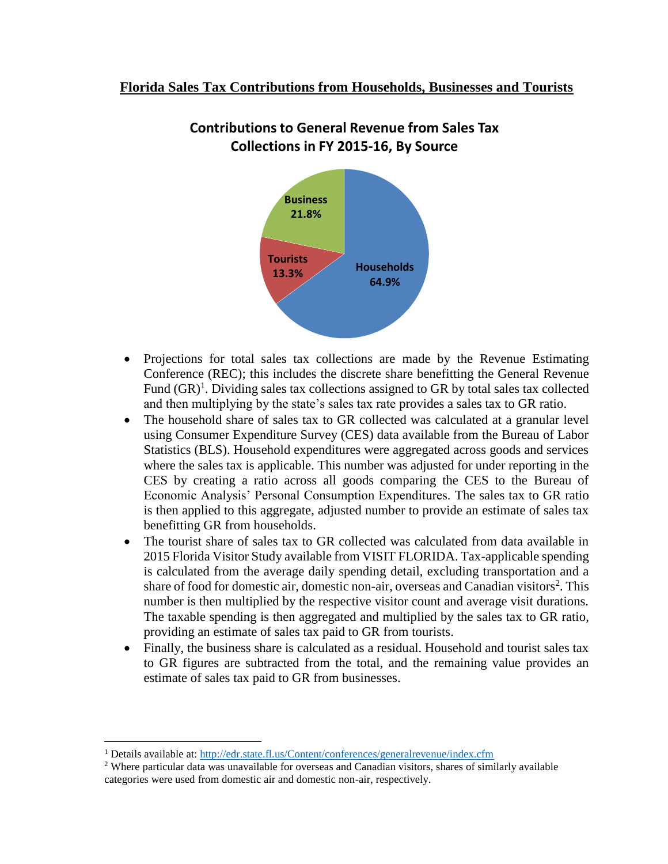

## **Contributions to General Revenue from Sales Tax Collections in FY 2015-16, By Source**

- Projections for total sales tax collections are made by the Revenue Estimating Conference (REC); this includes the discrete share benefitting the General Revenue Fund  $(GR)^1$ . Dividing sales tax collections assigned to GR by total sales tax collected and then multiplying by the state's sales tax rate provides a sales tax to GR ratio.
- The household share of sales tax to GR collected was calculated at a granular level using Consumer Expenditure Survey (CES) data available from the Bureau of Labor Statistics (BLS). Household expenditures were aggregated across goods and services where the sales tax is applicable. This number was adjusted for under reporting in the CES by creating a ratio across all goods comparing the CES to the Bureau of Economic Analysis' Personal Consumption Expenditures. The sales tax to GR ratio is then applied to this aggregate, adjusted number to provide an estimate of sales tax benefitting GR from households.
- The tourist share of sales tax to GR collected was calculated from data available in 2015 Florida Visitor Study available from VISIT FLORIDA. Tax-applicable spending is calculated from the average daily spending detail, excluding transportation and a share of food for domestic air, domestic non-air, overseas and Canadian visitors<sup>2</sup>. This number is then multiplied by the respective visitor count and average visit durations. The taxable spending is then aggregated and multiplied by the sales tax to GR ratio, providing an estimate of sales tax paid to GR from tourists.
- Finally, the business share is calculated as a residual. Household and tourist sales tax to GR figures are subtracted from the total, and the remaining value provides an estimate of sales tax paid to GR from businesses.

 $\overline{a}$ 

<sup>1</sup> Details available at:<http://edr.state.fl.us/Content/conferences/generalrevenue/index.cfm>

<sup>&</sup>lt;sup>2</sup> Where particular data was unavailable for overseas and Canadian visitors, shares of similarly available categories were used from domestic air and domestic non-air, respectively.